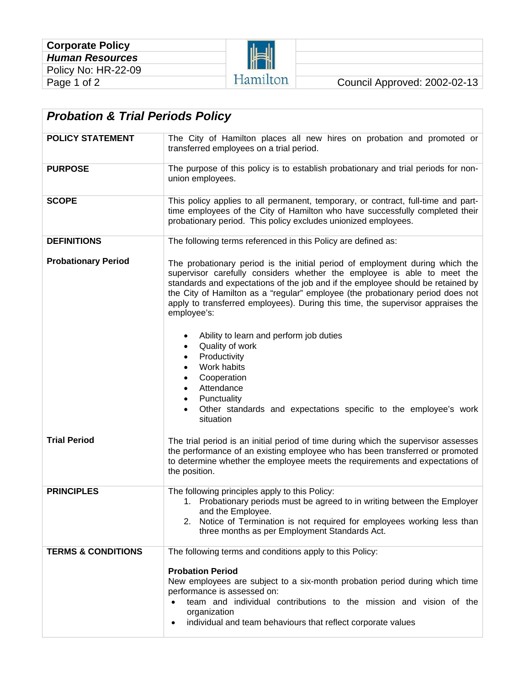

| <b>Probation &amp; Trial Periods Policy</b> |                                                                                                                                                                                                                                                                                                                                                                                                                                                                                                                                                                                                   |  |  |
|---------------------------------------------|---------------------------------------------------------------------------------------------------------------------------------------------------------------------------------------------------------------------------------------------------------------------------------------------------------------------------------------------------------------------------------------------------------------------------------------------------------------------------------------------------------------------------------------------------------------------------------------------------|--|--|
| <b>POLICY STATEMENT</b>                     | The City of Hamilton places all new hires on probation and promoted or<br>transferred employees on a trial period.                                                                                                                                                                                                                                                                                                                                                                                                                                                                                |  |  |
| <b>PURPOSE</b>                              | The purpose of this policy is to establish probationary and trial periods for non-<br>union employees.                                                                                                                                                                                                                                                                                                                                                                                                                                                                                            |  |  |
| <b>SCOPE</b>                                | This policy applies to all permanent, temporary, or contract, full-time and part-<br>time employees of the City of Hamilton who have successfully completed their<br>probationary period. This policy excludes unionized employees.                                                                                                                                                                                                                                                                                                                                                               |  |  |
| <b>DEFINITIONS</b>                          | The following terms referenced in this Policy are defined as:                                                                                                                                                                                                                                                                                                                                                                                                                                                                                                                                     |  |  |
| <b>Probationary Period</b>                  | The probationary period is the initial period of employment during which the<br>supervisor carefully considers whether the employee is able to meet the<br>standards and expectations of the job and if the employee should be retained by<br>the City of Hamilton as a "regular" employee (the probationary period does not<br>apply to transferred employees). During this time, the supervisor appraises the<br>employee's:<br>Ability to learn and perform job duties<br>Quality of work<br>$\bullet$<br>Productivity<br>Work habits<br>Cooperation<br>Attendance<br>Punctuality<br>$\bullet$ |  |  |
|                                             | Other standards and expectations specific to the employee's work<br>situation                                                                                                                                                                                                                                                                                                                                                                                                                                                                                                                     |  |  |
| <b>Trial Period</b>                         | The trial period is an initial period of time during which the supervisor assesses<br>the performance of an existing employee who has been transferred or promoted<br>to determine whether the employee meets the requirements and expectations of<br>the position.                                                                                                                                                                                                                                                                                                                               |  |  |
| <b>PRINCIPLES</b>                           | The following principles apply to this Policy:<br>1. Probationary periods must be agreed to in writing between the Employer<br>and the Employee.<br>2. Notice of Termination is not required for employees working less than<br>three months as per Employment Standards Act.                                                                                                                                                                                                                                                                                                                     |  |  |
| <b>TERMS &amp; CONDITIONS</b>               | The following terms and conditions apply to this Policy:<br><b>Probation Period</b><br>New employees are subject to a six-month probation period during which time<br>performance is assessed on:<br>team and individual contributions to the mission and vision of the<br>organization<br>individual and team behaviours that reflect corporate values<br>$\bullet$                                                                                                                                                                                                                              |  |  |